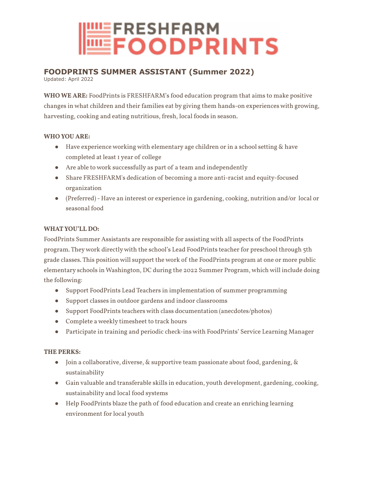# **ELEVANDER**<br>ELECTRINTS

# **FOODPRINTS SUMMER ASSISTANT (Summer 2022)**

Updated: April 2022

**WHO WE ARE:** FoodPrints is FRESHFARM's food education program that aims to make positive changes in what children and their families eat by giving them hands-on experiences with growing, harvesting, cooking and eating nutritious, fresh, local foods in season.

### **WHO YOU ARE:**

- Have experience working with elementary age children or in a school setting & have completed at least 1 year of college
- Are able to work successfully as part of a team and independently
- Share FRESHFARM's dedication of becoming a more anti-racist and equity-focused organization
- (Preferred) Have an interest or experience in gardening, cooking, nutrition and/or local or seasonal food

### **WHATYOU'LL DO:**

FoodPrints Summer Assistants are responsible for assisting with all aspects of the FoodPrints program. Theywork directlywith the school's Lead FoodPrints teacher for preschool through 5th grade classes. This position will support the work of the FoodPrints program at one or more public elementary schools in Washington, DC during the 2022 Summer Program, which will include doing the following:

- Support FoodPrints Lead Teachers in implementation of summer programming
- Support classes in outdoor gardens and indoor classrooms
- Support FoodPrints teachers with class documentation (anecdotes/photos)
- Complete a weekly timesheet to track hours
- Participate in training and periodic check-ins with FoodPrints' Service Learning Manager

### **THE PERKS:**

- Join a collaborative, diverse,  $\&$  supportive team passionate about food, gardening,  $\&$ sustainability
- Gain valuable and transferable skills in education, youth development, gardening, cooking, sustainability and local food systems
- Help FoodPrints blaze the path of food education and create an enriching learning environment for local youth